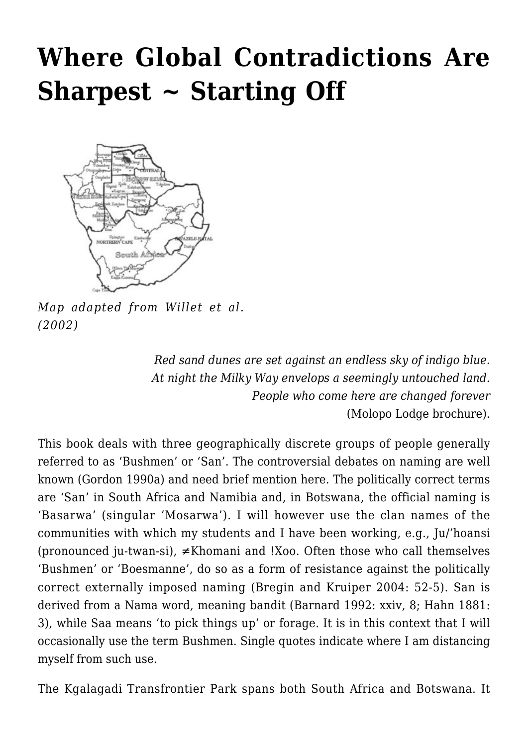# **[Where Global Contradictions Are](https://rozenbergquarterly.com/where-global-contraditions-are-sharpest-starting-off/) [Sharpest ~ Starting Off](https://rozenbergquarterly.com/where-global-contraditions-are-sharpest-starting-off/)**



*Map adapted from Willet et al. (2002)*

*Red sand dunes are set against an endless sky of indigo blue. At night the Milky Way envelops a seemingly untouched land. People who come here are changed forever* (Molopo Lodge brochure).

This book deals with three geographically discrete groups of people generally referred to as 'Bushmen' or 'San'. The controversial debates on naming are well known (Gordon 1990a) and need brief mention here. The politically correct terms are 'San' in South Africa and Namibia and, in Botswana, the official naming is 'Basarwa' (singular 'Mosarwa'). I will however use the clan names of the communities with which my students and I have been working, e.g., Ju/'hoansi (pronounced ju-twan-si),  $\neq$ Khomani and !Xoo. Often those who call themselves 'Bushmen' or 'Boesmanne', do so as a form of resistance against the politically correct externally imposed naming (Bregin and Kruiper 2004: 52-5). San is derived from a Nama word, meaning bandit (Barnard 1992: xxiv, 8; Hahn 1881: 3), while Saa means 'to pick things up' or forage. It is in this context that I will occasionally use the term Bushmen. Single quotes indicate where I am distancing myself from such use.

The Kgalagadi Transfrontier Park spans both South Africa and Botswana. It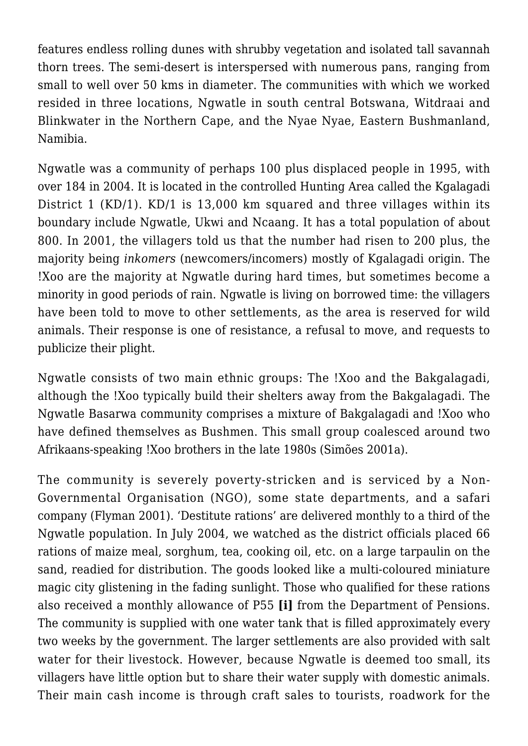features endless rolling dunes with shrubby vegetation and isolated tall savannah thorn trees. The semi-desert is interspersed with numerous pans, ranging from small to well over 50 kms in diameter. The communities with which we worked resided in three locations, Ngwatle in south central Botswana, Witdraai and Blinkwater in the Northern Cape, and the Nyae Nyae, Eastern Bushmanland, Namibia.

Ngwatle was a community of perhaps 100 plus displaced people in 1995, with over 184 in 2004. It is located in the controlled Hunting Area called the Kgalagadi District 1 (KD/1). KD/1 is 13,000 km squared and three villages within its boundary include Ngwatle, Ukwi and Ncaang. It has a total population of about 800. In 2001, the villagers told us that the number had risen to 200 plus, the majority being *inkomers* (newcomers/incomers) mostly of Kgalagadi origin. The !Xoo are the majority at Ngwatle during hard times, but sometimes become a minority in good periods of rain. Ngwatle is living on borrowed time: the villagers have been told to move to other settlements, as the area is reserved for wild animals. Their response is one of resistance, a refusal to move, and requests to publicize their plight.

Ngwatle consists of two main ethnic groups: The !Xoo and the Bakgalagadi, although the !Xoo typically build their shelters away from the Bakgalagadi. The Ngwatle Basarwa community comprises a mixture of Bakgalagadi and !Xoo who have defined themselves as Bushmen. This small group coalesced around two Afrikaans-speaking !Xoo brothers in the late 1980s (Simões 2001a).

The community is severely poverty-stricken and is serviced by a Non-Governmental Organisation (NGO), some state departments, and a safari company (Flyman 2001). 'Destitute rations' are delivered monthly to a third of the Ngwatle population. In July 2004, we watched as the district officials placed 66 rations of maize meal, sorghum, tea, cooking oil, etc. on a large tarpaulin on the sand, readied for distribution. The goods looked like a multi-coloured miniature magic city glistening in the fading sunlight. Those who qualified for these rations also received a monthly allowance of P55 **[i]** from the Department of Pensions. The community is supplied with one water tank that is filled approximately every two weeks by the government. The larger settlements are also provided with salt water for their livestock. However, because Ngwatle is deemed too small, its villagers have little option but to share their water supply with domestic animals. Their main cash income is through craft sales to tourists, roadwork for the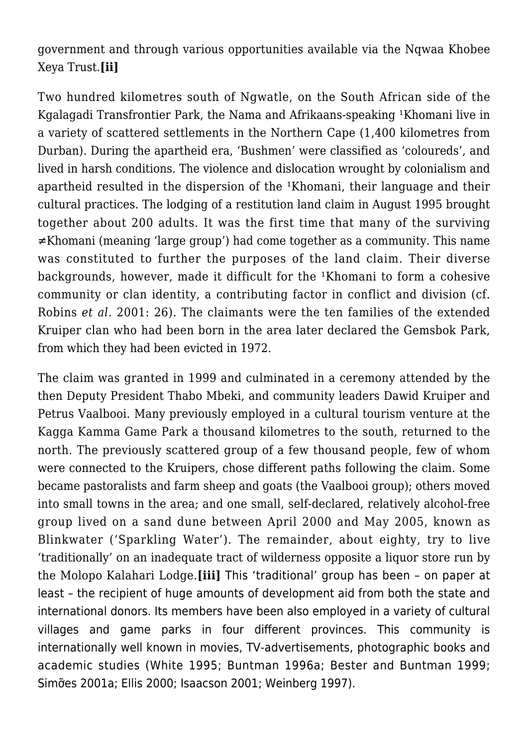government and through various opportunities available via the Nqwaa Khobee Xeya Trust.**[ii]**

Two hundred kilometres south of Ngwatle, on the South African side of the Kgalagadi Transfrontier Park, the Nama and Afrikaans-speaking <sup>1</sup>Khomani live in a variety of scattered settlements in the Northern Cape (1,400 kilometres from Durban). During the apartheid era, 'Bushmen' were classified as 'coloureds', and lived in harsh conditions. The violence and dislocation wrought by colonialism and apartheid resulted in the dispersion of the <sup>1</sup>Khomani, their language and their cultural practices. The lodging of a restitution land claim in August 1995 brought together about 200 adults. It was the first time that many of the surviving ≠Khomani (meaning 'large group') had come together as a community. This name was constituted to further the purposes of the land claim. Their diverse backgrounds, however, made it difficult for the <sup>1</sup>Khomani to form a cohesive community or clan identity, a contributing factor in conflict and division (cf. Robins *et al.* 2001: 26). The claimants were the ten families of the extended Kruiper clan who had been born in the area later declared the Gemsbok Park, from which they had been evicted in 1972.

The claim was granted in 1999 and culminated in a ceremony attended by the then Deputy President Thabo Mbeki, and community leaders Dawid Kruiper and Petrus Vaalbooi. Many previously employed in a cultural tourism venture at the Kagga Kamma Game Park a thousand kilometres to the south, returned to the north. The previously scattered group of a few thousand people, few of whom were connected to the Kruipers, chose different paths following the claim. Some became pastoralists and farm sheep and goats (the Vaalbooi group); others moved into small towns in the area; and one small, self-declared, relatively alcohol-free group lived on a sand dune between April 2000 and May 2005, known as Blinkwater ('Sparkling Water'). The remainder, about eighty, try to live 'traditionally' on an inadequate tract of wilderness opposite a liquor store run by the Molopo Kalahari Lodge.**[iii]** This 'traditional' group has been – on paper at least – the recipient of huge amounts of development aid from both the state and international donors. Its members have been also employed in a variety of cultural villages and game parks in four different provinces. This community is internationally well known in movies, TV-advertisements, photographic books and academic studies (White 1995; Buntman 1996a; Bester and Buntman 1999; Simỡes 2001a; Ellis 2000; Isaacson 2001; Weinberg 1997).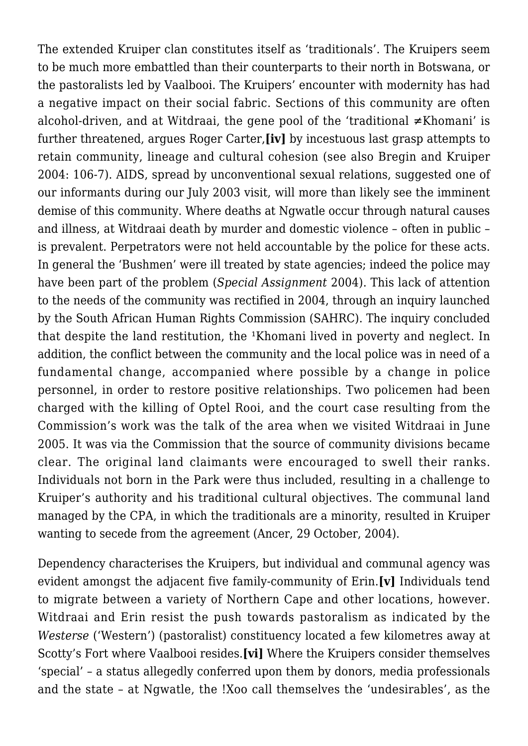The extended Kruiper clan constitutes itself as 'traditionals'. The Kruipers seem to be much more embattled than their counterparts to their north in Botswana, or the pastoralists led by Vaalbooi. The Kruipers' encounter with modernity has had a negative impact on their social fabric. Sections of this community are often alcohol-driven, and at Witdraai, the gene pool of the 'traditional ≠Khomani' is further threatened, argues Roger Carter,**[iv]** by incestuous last grasp attempts to retain community, lineage and cultural cohesion (see also Bregin and Kruiper 2004: 106-7). AIDS, spread by unconventional sexual relations, suggested one of our informants during our July 2003 visit, will more than likely see the imminent demise of this community. Where deaths at Ngwatle occur through natural causes and illness, at Witdraai death by murder and domestic violence – often in public – is prevalent. Perpetrators were not held accountable by the police for these acts. In general the 'Bushmen' were ill treated by state agencies; indeed the police may have been part of the problem (*Special Assignment* 2004). This lack of attention to the needs of the community was rectified in 2004, through an inquiry launched by the South African Human Rights Commission (SAHRC). The inquiry concluded that despite the land restitution, the <sup>1</sup>Khomani lived in poverty and neglect. In addition, the conflict between the community and the local police was in need of a fundamental change, accompanied where possible by a change in police personnel, in order to restore positive relationships. Two policemen had been charged with the killing of Optel Rooi, and the court case resulting from the Commission's work was the talk of the area when we visited Witdraai in June 2005. It was via the Commission that the source of community divisions became clear. The original land claimants were encouraged to swell their ranks. Individuals not born in the Park were thus included, resulting in a challenge to Kruiper's authority and his traditional cultural objectives. The communal land managed by the CPA, in which the traditionals are a minority, resulted in Kruiper wanting to secede from the agreement (Ancer, 29 October, 2004).

Dependency characterises the Kruipers, but individual and communal agency was evident amongst the adjacent five family-community of Erin.**[v]** Individuals tend to migrate between a variety of Northern Cape and other locations, however. Witdraai and Erin resist the push towards pastoralism as indicated by the *Westerse* ('Western') (pastoralist) constituency located a few kilometres away at Scotty's Fort where Vaalbooi resides.**[vi]** Where the Kruipers consider themselves 'special' – a status allegedly conferred upon them by donors, media professionals and the state – at Ngwatle, the !Xoo call themselves the 'undesirables', as the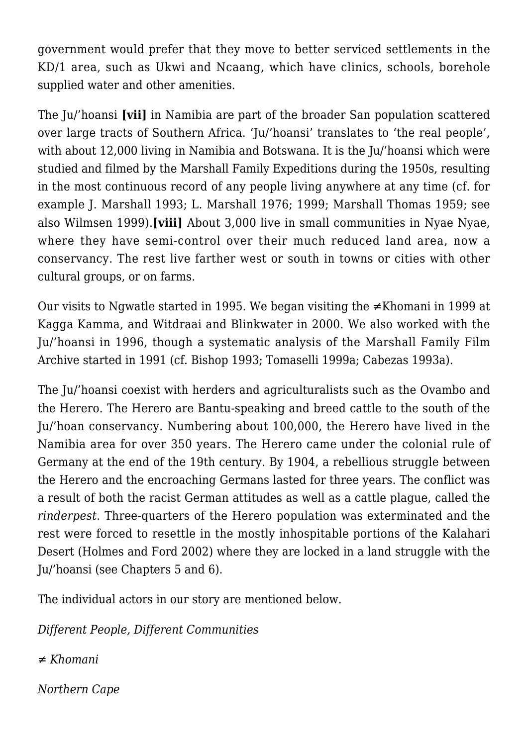government would prefer that they move to better serviced settlements in the KD/1 area, such as Ukwi and Ncaang, which have clinics, schools, borehole supplied water and other amenities.

The Ju/'hoansi **[vii]** in Namibia are part of the broader San population scattered over large tracts of Southern Africa. 'Ju/'hoansi' translates to 'the real people', with about 12,000 living in Namibia and Botswana. It is the Ju/'hoansi which were studied and filmed by the Marshall Family Expeditions during the 1950s, resulting in the most continuous record of any people living anywhere at any time (cf. for example J. Marshall 1993; L. Marshall 1976; 1999; Marshall Thomas 1959; see also Wilmsen 1999).**[viii]** About 3,000 live in small communities in Nyae Nyae, where they have semi-control over their much reduced land area, now a conservancy. The rest live farther west or south in towns or cities with other cultural groups, or on farms.

Our visits to Ngwatle started in 1995. We began visiting the ≠Khomani in 1999 at Kagga Kamma, and Witdraai and Blinkwater in 2000. We also worked with the Ju/'hoansi in 1996, though a systematic analysis of the Marshall Family Film Archive started in 1991 (cf. Bishop 1993; Tomaselli 1999a; Cabezas 1993a).

The Ju/'hoansi coexist with herders and agriculturalists such as the Ovambo and the Herero. The Herero are Bantu-speaking and breed cattle to the south of the Ju/'hoan conservancy. Numbering about 100,000, the Herero have lived in the Namibia area for over 350 years. The Herero came under the colonial rule of Germany at the end of the 19th century. By 1904, a rebellious struggle between the Herero and the encroaching Germans lasted for three years. The conflict was a result of both the racist German attitudes as well as a cattle plague, called the *rinderpest*. Three-quarters of the Herero population was exterminated and the rest were forced to resettle in the mostly inhospitable portions of the Kalahari Desert (Holmes and Ford 2002) where they are locked in a land struggle with the Ju/'hoansi (see Chapters 5 and 6).

The individual actors in our story are mentioned below.

*Different People, Different Communities*

*≠ Khomani*

*Northern Cape*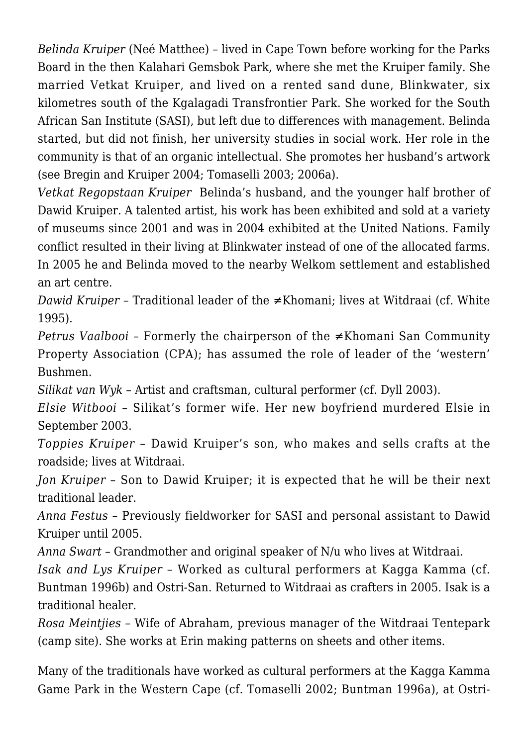*Belinda Kruiper* (Neé Matthee) – lived in Cape Town before working for the Parks Board in the then Kalahari Gemsbok Park, where she met the Kruiper family. She married Vetkat Kruiper, and lived on a rented sand dune, Blinkwater, six kilometres south of the Kgalagadi Transfrontier Park. She worked for the South African San Institute (SASI), but left due to differences with management. Belinda started, but did not finish, her university studies in social work. Her role in the community is that of an organic intellectual. She promotes her husband's artwork (see Bregin and Kruiper 2004; Tomaselli 2003; 2006a).

*Vetkat Regopstaan Kruiper* Belinda's husband, and the younger half brother of Dawid Kruiper. A talented artist, his work has been exhibited and sold at a variety of museums since 2001 and was in 2004 exhibited at the United Nations. Family conflict resulted in their living at Blinkwater instead of one of the allocated farms. In 2005 he and Belinda moved to the nearby Welkom settlement and established an art centre.

*Dawid Kruiper* – Traditional leader of the ≠Khomani; lives at Witdraai (cf. White 1995).

*Petrus Vaalbooi* – Formerly the chairperson of the ≠Khomani San Community Property Association (CPA); has assumed the role of leader of the 'western' Bushmen.

*Silikat van Wyk* – Artist and craftsman, cultural performer (cf. Dyll 2003).

*Elsie Witbooi* – Silikat's former wife. Her new boyfriend murdered Elsie in September 2003.

*Toppies Kruiper* – Dawid Kruiper's son, who makes and sells crafts at the roadside; lives at Witdraai.

*Jon Kruiper* – Son to Dawid Kruiper; it is expected that he will be their next traditional leader.

*Anna Festus* – Previously fieldworker for SASI and personal assistant to Dawid Kruiper until 2005.

*Anna Swart* – Grandmother and original speaker of N/u who lives at Witdraai.

*Isak and Lys Kruiper* – Worked as cultural performers at Kagga Kamma (cf. Buntman 1996b) and Ostri-San. Returned to Witdraai as crafters in 2005. Isak is a traditional healer.

*Rosa Meintjies* – Wife of Abraham, previous manager of the Witdraai Tentepark (camp site). She works at Erin making patterns on sheets and other items.

Many of the traditionals have worked as cultural performers at the Kagga Kamma Game Park in the Western Cape (cf. Tomaselli 2002; Buntman 1996a), at Ostri-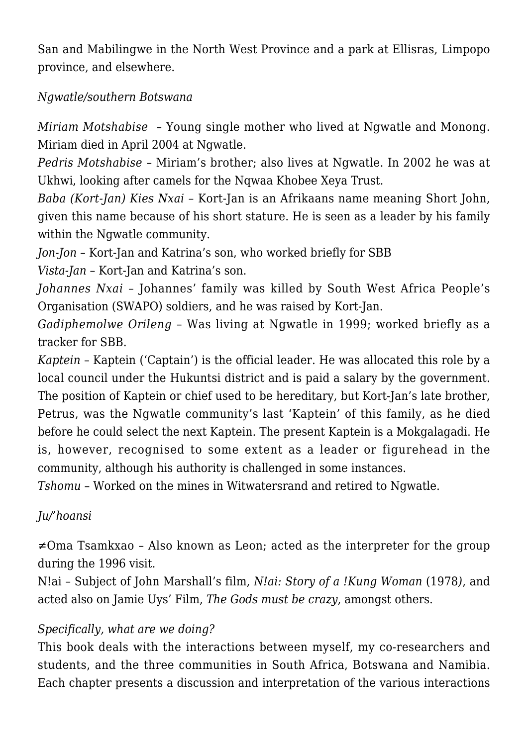San and Mabilingwe in the North West Province and a park at Ellisras, Limpopo province, and elsewhere.

#### *Ngwatle/southern Botswana*

*Miriam Motshabise* – Young single mother who lived at Ngwatle and Monong. Miriam died in April 2004 at Ngwatle.

*Pedris Motshabise* – Miriam's brother; also lives at Ngwatle. In 2002 he was at Ukhwi, looking after camels for the Nqwaa Khobee Xeya Trust.

*Baba (Kort-Jan) Kies Nxai* – Kort-Jan is an Afrikaans name meaning Short John, given this name because of his short stature. He is seen as a leader by his family within the Ngwatle community.

*Jon-Jon* – Kort-Jan and Katrina's son, who worked briefly for SBB

*Vista-Jan* – Kort-Jan and Katrina's son.

*Johannes Nxai* – Johannes' family was killed by South West Africa People's Organisation (SWAPO) soldiers, and he was raised by Kort-Jan.

*Gadiphemolwe Orileng* – Was living at Ngwatle in 1999; worked briefly as a tracker for SBB.

*Kaptein* – Kaptein ('Captain') is the official leader. He was allocated this role by a local council under the Hukuntsi district and is paid a salary by the government. The position of Kaptein or chief used to be hereditary, but Kort-Jan's late brother, Petrus, was the Ngwatle community's last 'Kaptein' of this family, as he died before he could select the next Kaptein. The present Kaptein is a Mokgalagadi. He is, however, recognised to some extent as a leader or figurehead in the community, although his authority is challenged in some instances.

*Tshomu* – Worked on the mines in Witwatersrand and retired to Ngwatle.

## *Ju/'hoansi*

≠Oma Tsamkxao – Also known as Leon; acted as the interpreter for the group during the 1996 visit.

N!ai – Subject of John Marshall's film, *N!ai: Story of a !Kung Woman* (1978*)*, and acted also on Jamie Uys' Film, *The Gods must be crazy*, amongst others.

## *Specifically, what are we doing?*

This book deals with the interactions between myself, my co-researchers and students, and the three communities in South Africa, Botswana and Namibia. Each chapter presents a discussion and interpretation of the various interactions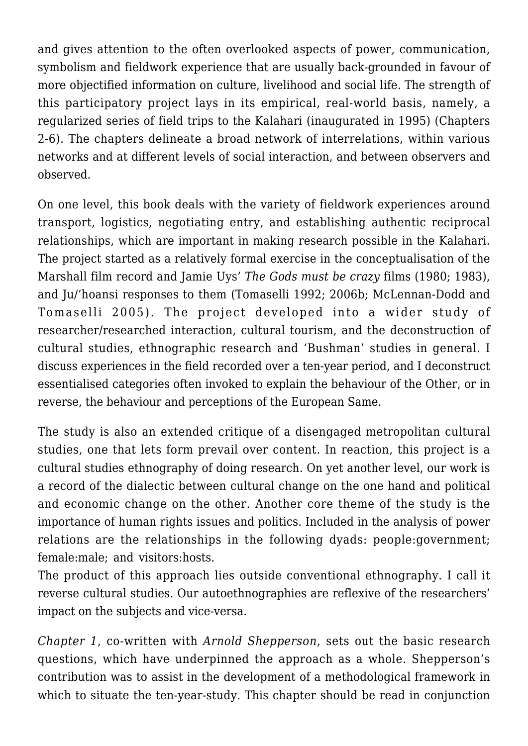and gives attention to the often overlooked aspects of power, communication, symbolism and fieldwork experience that are usually back-grounded in favour of more objectified information on culture, livelihood and social life. The strength of this participatory project lays in its empirical, real-world basis, namely, a regularized series of field trips to the Kalahari (inaugurated in 1995) (Chapters 2-6). The chapters delineate a broad network of interrelations, within various networks and at different levels of social interaction, and between observers and observed.

On one level, this book deals with the variety of fieldwork experiences around transport, logistics, negotiating entry, and establishing authentic reciprocal relationships, which are important in making research possible in the Kalahari. The project started as a relatively formal exercise in the conceptualisation of the Marshall film record and Jamie Uys' *The Gods must be crazy* films (1980; 1983), and Ju/'hoansi responses to them (Tomaselli 1992; 2006b; McLennan-Dodd and Tomaselli 2005). The project developed into a wider study of researcher/researched interaction, cultural tourism, and the deconstruction of cultural studies, ethnographic research and 'Bushman' studies in general. I discuss experiences in the field recorded over a ten-year period, and I deconstruct essentialised categories often invoked to explain the behaviour of the Other, or in reverse, the behaviour and perceptions of the European Same.

The study is also an extended critique of a disengaged metropolitan cultural studies, one that lets form prevail over content. In reaction, this project is a cultural studies ethnography of doing research. On yet another level, our work is a record of the dialectic between cultural change on the one hand and political and economic change on the other. Another core theme of the study is the importance of human rights issues and politics. Included in the analysis of power relations are the relationships in the following dyads: people:government; female:male; and visitors:hosts.

The product of this approach lies outside conventional ethnography. I call it reverse cultural studies. Our autoethnographies are reflexive of the researchers' impact on the subjects and vice-versa.

*Chapter 1*, co-written with *Arnold Shepperson*, sets out the basic research questions, which have underpinned the approach as a whole. Shepperson's contribution was to assist in the development of a methodological framework in which to situate the ten-year-study. This chapter should be read in conjunction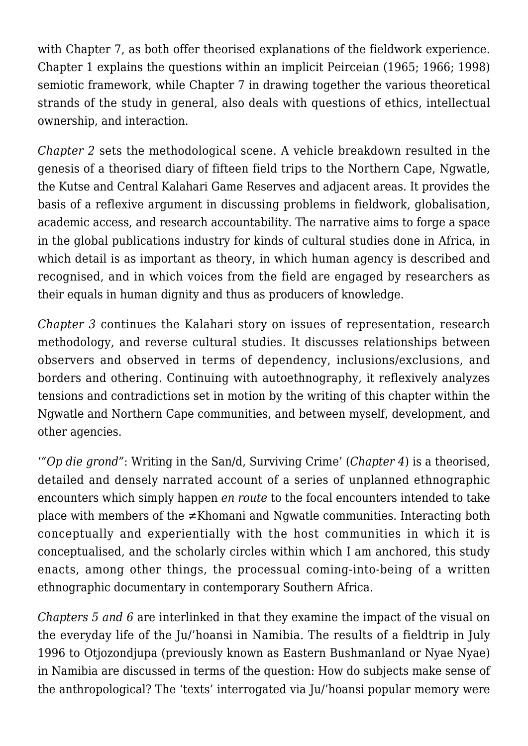with Chapter 7, as both offer theorised explanations of the fieldwork experience. Chapter 1 explains the questions within an implicit Peirceian (1965; 1966; 1998) semiotic framework, while Chapter 7 in drawing together the various theoretical strands of the study in general, also deals with questions of ethics, intellectual ownership, and interaction.

*Chapter 2* sets the methodological scene. A vehicle breakdown resulted in the genesis of a theorised diary of fifteen field trips to the Northern Cape, Ngwatle, the Kutse and Central Kalahari Game Reserves and adjacent areas. It provides the basis of a reflexive argument in discussing problems in fieldwork, globalisation, academic access, and research accountability. The narrative aims to forge a space in the global publications industry for kinds of cultural studies done in Africa, in which detail is as important as theory, in which human agency is described and recognised, and in which voices from the field are engaged by researchers as their equals in human dignity and thus as producers of knowledge.

*Chapter 3* continues the Kalahari story on issues of representation, research methodology, and reverse cultural studies. It discusses relationships between observers and observed in terms of dependency, inclusions/exclusions, and borders and othering. Continuing with autoethnography, it reflexively analyzes tensions and contradictions set in motion by the writing of this chapter within the Ngwatle and Northern Cape communities, and between myself, development, and other agencies.

'*"Op die grond"*: Writing in the San/d, Surviving Crime' (*Chapter 4*) is a theorised, detailed and densely narrated account of a series of unplanned ethnographic encounters which simply happen *en route* to the focal encounters intended to take place with members of the ≠Khomani and Ngwatle communities. Interacting both conceptually and experientially with the host communities in which it is conceptualised, and the scholarly circles within which I am anchored, this study enacts, among other things, the processual coming-into-being of a written ethnographic documentary in contemporary Southern Africa.

*Chapters 5 and 6* are interlinked in that they examine the impact of the visual on the everyday life of the Ju/'hoansi in Namibia. The results of a fieldtrip in July 1996 to Otjozondjupa (previously known as Eastern Bushmanland or Nyae Nyae) in Namibia are discussed in terms of the question: How do subjects make sense of the anthropological? The 'texts' interrogated via Ju/'hoansi popular memory were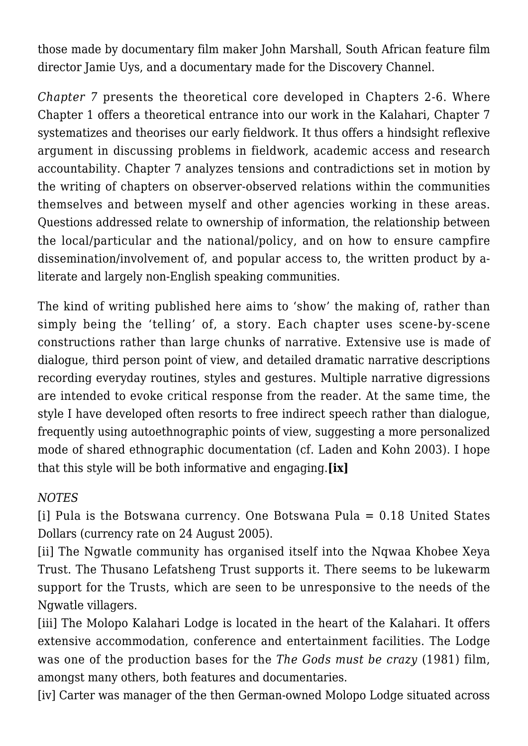those made by documentary film maker John Marshall, South African feature film director Jamie Uys, and a documentary made for the Discovery Channel.

*Chapter 7* presents the theoretical core developed in Chapters 2-6. Where Chapter 1 offers a theoretical entrance into our work in the Kalahari, Chapter 7 systematizes and theorises our early fieldwork. It thus offers a hindsight reflexive argument in discussing problems in fieldwork, academic access and research accountability. Chapter 7 analyzes tensions and contradictions set in motion by the writing of chapters on observer-observed relations within the communities themselves and between myself and other agencies working in these areas. Questions addressed relate to ownership of information, the relationship between the local/particular and the national/policy, and on how to ensure campfire dissemination/involvement of, and popular access to, the written product by aliterate and largely non-English speaking communities.

The kind of writing published here aims to 'show' the making of, rather than simply being the 'telling' of, a story. Each chapter uses scene-by-scene constructions rather than large chunks of narrative. Extensive use is made of dialogue, third person point of view, and detailed dramatic narrative descriptions recording everyday routines, styles and gestures. Multiple narrative digressions are intended to evoke critical response from the reader. At the same time, the style I have developed often resorts to free indirect speech rather than dialogue, frequently using autoethnographic points of view, suggesting a more personalized mode of shared ethnographic documentation (cf. Laden and Kohn 2003). I hope that this style will be both informative and engaging.**[ix]**

#### *NOTES*

[i] Pula is the Botswana currency. One Botswana Pula = 0.18 United States Dollars (currency rate on 24 August 2005).

[ii] The Ngwatle community has organised itself into the Nqwaa Khobee Xeya Trust. The Thusano Lefatsheng Trust supports it. There seems to be lukewarm support for the Trusts, which are seen to be unresponsive to the needs of the Ngwatle villagers.

[iii] The Molopo Kalahari Lodge is located in the heart of the Kalahari. It offers extensive accommodation, conference and entertainment facilities. The Lodge was one of the production bases for the *The Gods must be crazy* (1981) film, amongst many others, both features and documentaries.

[iv] Carter was manager of the then German-owned Molopo Lodge situated across